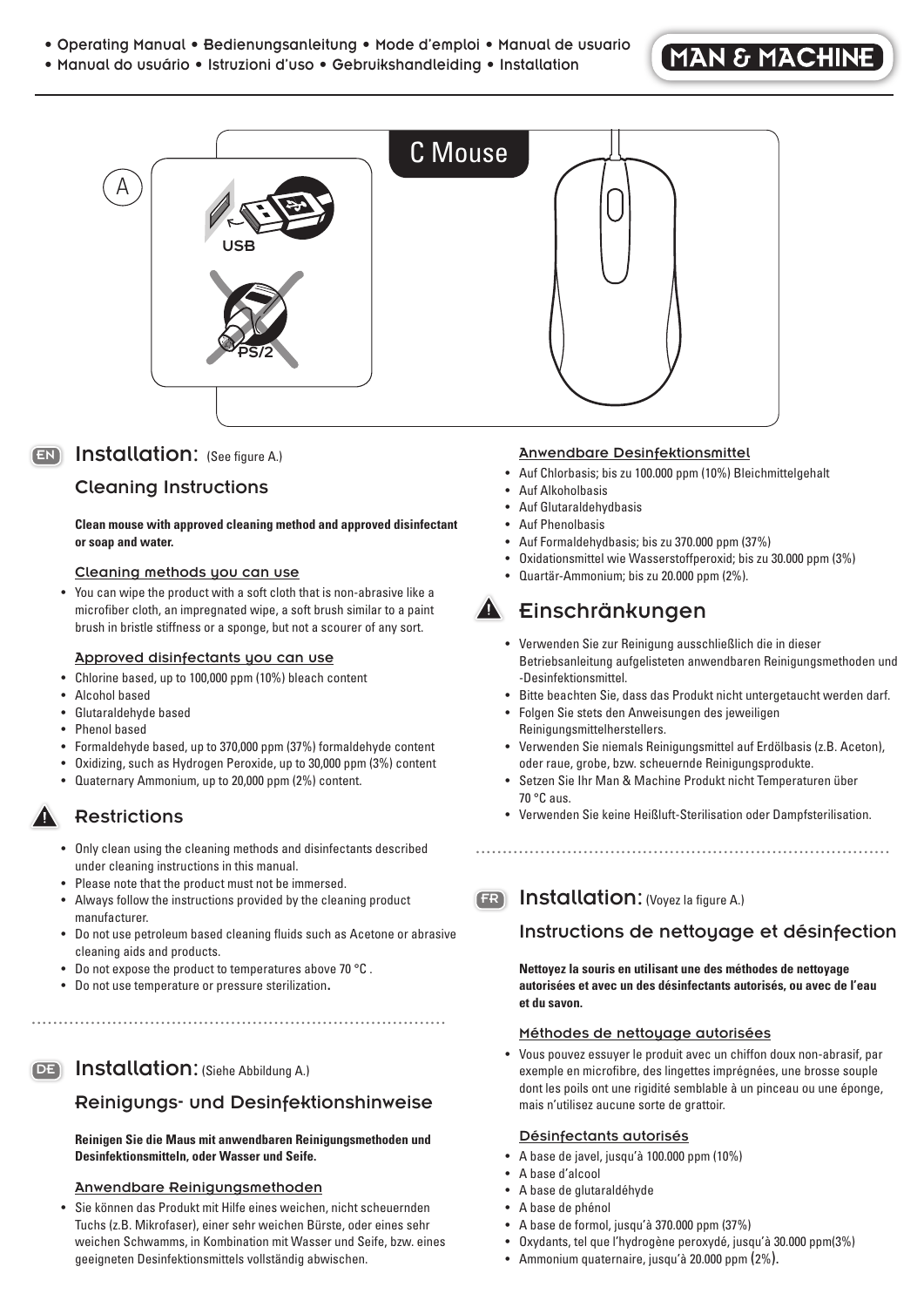- Operating Manual Bedienungsanleitung Mode d'emploi Manual de usuario
- Manual do usuário Istruzioni d'uso Gebruikshandleiding Installation

# **MAN & MACHINE**



## EN Installation: (See figure A.)

#### Cleaning Instructions

#### **Clean mouse with approved cleaning method and approved disinfectant or soap and water.**

#### Cleaning methods you can use

• You can wipe the product with a soft cloth that is non-abrasive like a microfiber cloth, an impregnated wipe, a soft brush similar to a paint brush in bristle stiffness or a sponge, but not a scourer of any sort.

#### Approved disinfectants you can use

- Chlorine based, up to 100,000 ppm (10%) bleach content
- Alcohol based
- Glutaraldehyde based
- Phenol based
- Formaldehyde based, up to 370,000 ppm (37%) formaldehyde content
- Oxidizing, such as Hydrogen Peroxide, up to 30,000 ppm (3%) content
- Quaternary Ammonium, up to 20,000 ppm (2%) content.

#### **Restrictions**

- Only clean using the cleaning methods and disinfectants described under cleaning instructions in this manual.
- Please note that the product must not be immersed.
- Always follow the instructions provided by the cleaning product manufacturer.

.............................................................................

- Do not use petroleum based cleaning fluids such as Acetone or abrasive cleaning aids and products.
- Do not expose the product to temperatures above 70 °C .
- Do not use temperature or pressure sterilization.

## DE Installation: (Siehe Abbildung A.)

#### Reinigungs- und Desinfektionshinweise

#### **Reinigen Sie die Maus mit anwendbaren Reinigungsmethoden und Desinfektionsmitteln, oder Wasser und Seife.**

#### Anwendbare Reinigungsmethoden

• Sie können das Produkt mit Hilfe eines weichen, nicht scheuernden Tuchs (z.B. Mikrofaser), einer sehr weichen Bürste, oder eines sehr weichen Schwamms, in Kombination mit Wasser und Seife, bzw. eines geeigneten Desinfektionsmittels vollständig abwischen.

#### Anwendbare Desinfektionsmittel

- Auf Chlorbasis; bis zu 100.000 ppm (10%) Bleichmittelgehalt
- Auf Alkoholbasis
- Auf Glutaraldehydbasis
- Auf Phenolbasis
- Auf Formaldehydbasis; bis zu 370.000 ppm (37%)
- Oxidationsmittel wie Wasserstoffperoxid; bis zu 30.000 ppm (3%)
- Quartär-Ammonium; bis zu 20.000 ppm (2%).

# Einschränkungen

- Verwenden Sie zur Reinigung ausschließlich die in dieser Betriebsanleitung aufgelisteten anwendbaren Reinigungsmethoden und -Desinfektionsmittel.
- Bitte beachten Sie, dass das Produkt nicht untergetaucht werden darf.
- Folgen Sie stets den Anweisungen des jeweiligen Reinigungsmittelherstellers.
- Verwenden Sie niemals Reinigungsmittel auf Erdölbasis (z.B. Aceton), oder raue, grobe, bzw. scheuernde Reinigungsprodukte.
- Setzen Sie Ihr Man & Machine Produkt nicht Temperaturen über 70 °C aus.
- Verwenden Sie keine Heißluft-Sterilisation oder Dampfsterilisation.

.............................................................................

FR Installation: (Voyez la figure A.)

# Instructions de nettoyage et désinfection

**Nettoyez la souris en utilisant une des méthodes de nettoyage autorisées et avec un des désinfectants autorisés, ou avec de l'eau et du savon.** 

#### Méthodes de nettoyage autorisées

• Vous pouvez essuyer le produit avec un chiffon doux non-abrasif, par exemple en microfibre, des lingettes imprégnées, une brosse souple dont les poils ont une rigidité semblable à un pinceau ou une éponge, mais n'utilisez aucune sorte de grattoir.

#### Désinfectants autorisés

- A base de javel, jusqu'à 100.000 ppm (10%)
- A base d'alcool
- A base de glutaraldéhyde
- A base de phénol
- A base de formol, jusqu'à 370.000 ppm (37%)
- Oxydants, tel que l'hydrogène peroxydé, jusqu'à 30.000 ppm(3%)
- Ammonium quaternaire, jusqu'à 20.000 ppm (2%).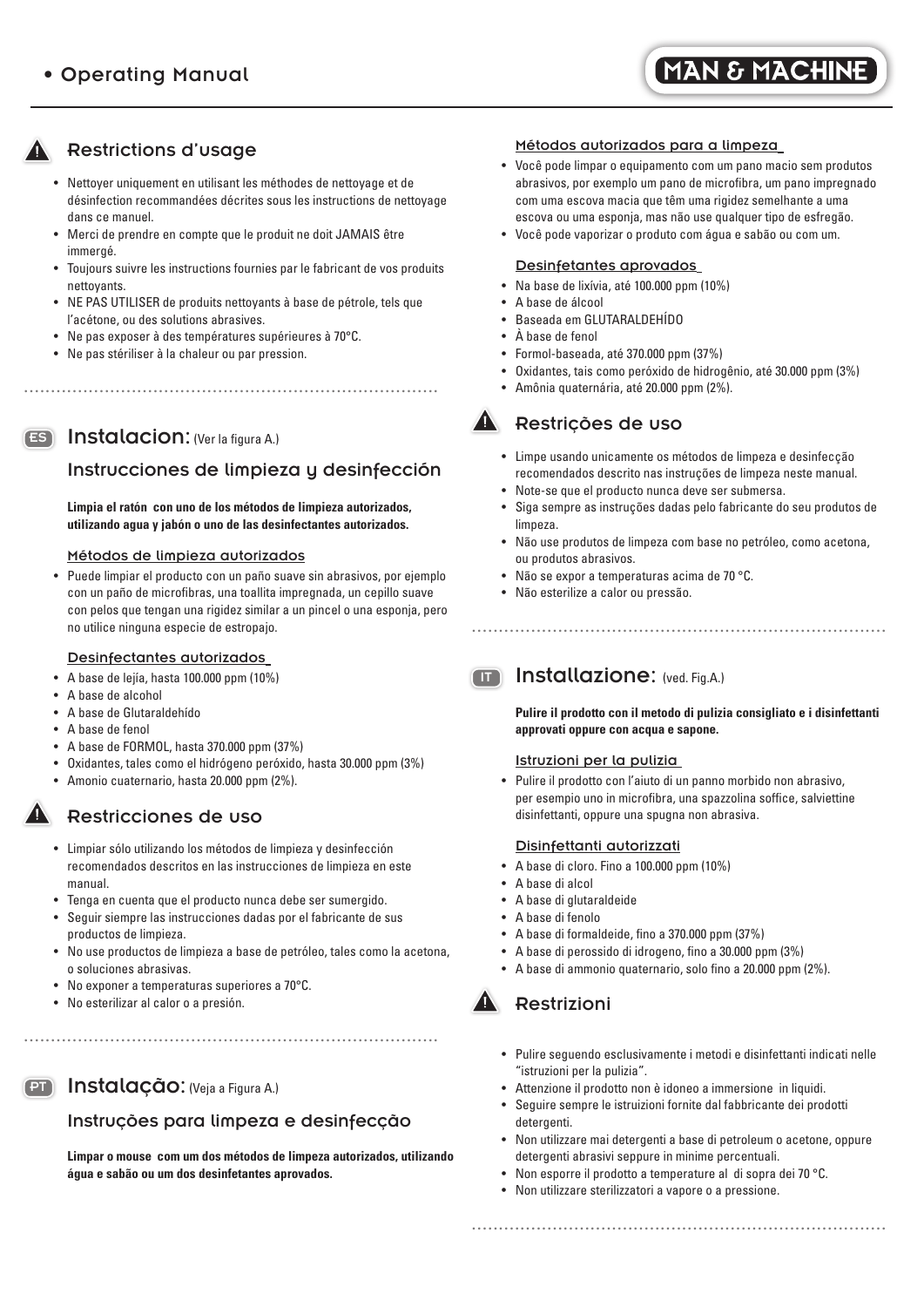# **MAN & MACHINE**

# Restrictions d'usage

- Nettoyer uniquement en utilisant les méthodes de nettoyage et de désinfection recommandées décrites sous les instructions de nettoyage dans ce manuel.
- Merci de prendre en compte que le produit ne doit JAMAIS être immergé.
- Toujours suivre les instructions fournies par le fabricant de vos produits nettoyants.
- NE PAS UTILISER de produits nettoyants à base de pétrole, tels que l'acétone, ou des solutions abrasives.

.............................................................................

- Ne pas exposer à des températures supérieures à 70°C.
- Ne pas stériliser à la chaleur ou par pression.

#### ES Instalacion: (Ver la figura A.)

## Instrucciones de limpieza y desinfección

 **Limpia el ratón con uno de los métodos de limpieza autorizados, utilizando agua y jabón o uno de las desinfectantes autorizados.** 

#### Métodos de limpieza autorizados

• Puede limpiar el producto con un paño suave sin abrasivos, por ejemplo con un paño de microfibras, una toallita impregnada, un cepillo suave con pelos que tengan una rigidez similar a un pincel o una esponja, pero no utilice ninguna especie de estropajo.

#### Desinfectantes autorizados

- A base de lejía, hasta 100.000 ppm (10%)
- A base de alcohol
- A base de Glutaraldehído
- A base de fenol
- A base de FORMOL, hasta 370.000 ppm (37%)
- Oxidantes, tales como el hidrógeno peróxido, hasta 30.000 ppm (3%)
- Amonio cuaternario, hasta 20.000 ppm (2%).

#### Restricciones de uso

- Limpiar sólo utilizando los métodos de limpieza y desinfección recomendados descritos en las instrucciones de limpieza en este manual.
- Tenga en cuenta que el producto nunca debe ser sumergido.
- Seguir siempre las instrucciones dadas por el fabricante de sus productos de limpieza.
- No use productos de limpieza a base de petróleo, tales como la acetona, o soluciones abrasivas.
- No exponer a temperaturas superiores a 70°C.
- No esterilizar al calor o a presión.

## PT Instalação: (Veja a Figura A.)

#### Instruções para limpeza e desinfecção

.............................................................................

 **Limpar o mouse com um dos métodos de limpeza autorizados, utilizando água e sabão ou um dos desinfetantes aprovados.** 

#### Métodos autorizados para a limpeza

- Você pode limpar o equipamento com um pano macio sem produtos abrasivos, por exemplo um pano de microfibra, um pano impregnado com uma escova macia que têm uma rigidez semelhante a uma escova ou uma esponja, mas não use qualquer tipo de esfregão.
- Você pode vaporizar o produto com água e sabão ou com um.

#### Desinfetantes aprovados

- Na base de lixívia, até 100.000 ppm (10%)
- A base de álcool
- Baseada em GLUTARALDEHÍDO
- À base de fenol
- Formol-baseada, até 370.000 ppm (37%)
- Oxidantes, tais como peróxido de hidrogênio, até 30.000 ppm (3%)
- Amônia quaternária, até 20.000 ppm (2%).

# **A** Restrições de uso

- Limpe usando unicamente os métodos de limpeza e desinfecção recomendados descrito nas instruções de limpeza neste manual.
- Note-se que el producto nunca deve ser submersa.
- Siga sempre as instruções dadas pelo fabricante do seu produtos de limpeza.
- Não use produtos de limpeza com base no petróleo, como acetona, ou produtos abrasivos.

.............................................................................

- Não se expor a temperaturas acima de 70 °C.
- Não esterilize a calor ou pressão.

## **IT Installazione:** (ved. Fig.A.)

 **Pulire il prodotto con il metodo di pulizia consigliato e i disinfettanti approvati oppure con acqua e sapone.**

#### Istruzioni per la pulizia

• Pulire il prodotto con l'aiuto di un panno morbido non abrasivo, per esempio uno in microfibra, una spazzolina soffice, salviettine disinfettanti, oppure una spugna non abrasiva.

#### Disinfettanti autorizzati

- A base di cloro. Fino a 100.000 ppm (10%)
- A base di alcol
- A base di glutaraldeide
- A base di fenolo
- A base di formaldeide, fino a 370.000 ppm (37%)
- A base di perossido di idrogeno, fino a 30.000 ppm (3%)
- A base di ammonio quaternario, solo fino a 20.000 ppm (2%).

# Restrizioni

- Pulire seguendo esclusivamente i metodi e disinfettanti indicati nelle "istruzioni per la pulizia".
- Attenzione il prodotto non è idoneo a immersione in liquidi.
- Seguire sempre le istruizioni fornite dal fabbricante dei prodotti detergenti.
- Non utilizzare mai detergenti a base di petroleum o acetone, oppure detergenti abrasivi seppure in minime percentuali.

.............................................................................

- Non esporre il prodotto a temperature al di sopra dei 70 °C.
- Non utilizzare sterilizzatori a vapore o a pressione.



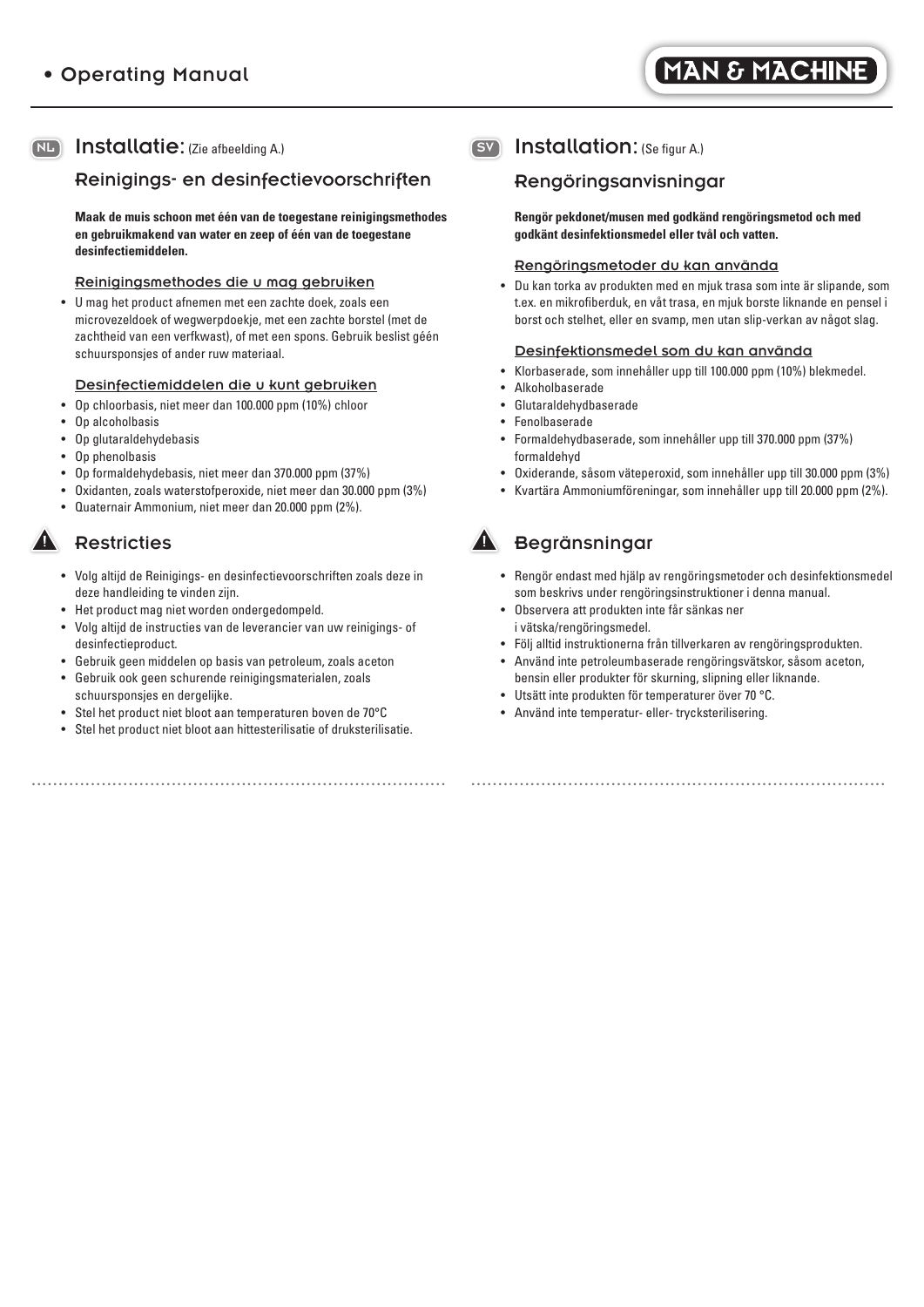## NL Installatie: (Zie afbeelding A.)

# Reinigings- en desinfectievoorschriften

 **Maak de muis schoon met één van de toegestane reinigingsmethodes en gebruikmakend van water en zeep of één van de toegestane desinfectiemiddelen.**

#### Reinigingsmethodes die u mag gebruiken

• U mag het product afnemen met een zachte doek, zoals een microvezeldoek of wegwerpdoekje, met een zachte borstel (met de zachtheid van een verfkwast), of met een spons. Gebruik beslist géén schuursponsjes of ander ruw materiaal.

# Desinfectiemiddelen die u kunt gebruiken

- Op chloorbasis, niet meer dan 100.000 ppm (10%) chloor
- Op alcoholbasis
- Op glutaraldehydebasis
- Op phenolbasis
- Op formaldehydebasis, niet meer dan 370.000 ppm (37%)
- Oxidanten, zoals waterstofperoxide, niet meer dan 30.000 ppm (3%)
- Quaternair Ammonium, niet meer dan 20.000 ppm (2%).

# **Restricties**

- Volg altijd de Reinigings- en desinfectievoorschriften zoals deze in deze handleiding te vinden zijn.
- Het product mag niet worden ondergedompeld.
- Volg altijd de instructies van de leverancier van uw reinigings- of desinfectieproduct.
- Gebruik geen middelen op basis van petroleum, zoals aceton
- Gebruik ook geen schurende reinigingsmaterialen, zoals schuursponsjes en dergelijke.
- Stel het product niet bloot aan temperaturen boven de 70°C
- Stel het product niet bloot aan hittesterilisatie of druksterilisatie.

# SV Installation: (Se figur A.)

# Rengöringsanvisningar

 **Rengör pekdonet/musen med godkänd rengöringsmetod och med godkänt desinfektionsmedel eller tvål och vatten.**

#### Rengöringsmetoder du kan använda

• Du kan torka av produkten med en mjuk trasa som inte är slipande, som t.ex. en mikrofiberduk, en våt trasa, en mjuk borste liknande en pensel i borst och stelhet, eller en svamp, men utan slip-verkan av något slag.

#### Desinfektionsmedel som du kan använda

- Klorbaserade, som innehåller upp till 100.000 ppm (10%) blekmedel.
- Alkoholbaserade
- Glutaraldehydbaserade
- **Fenolbaserade**
- Formaldehydbaserade, som innehåller upp till 370.000 ppm (37%) formaldehyd
- Oxiderande, såsom väteperoxid, som innehåller upp till 30.000 ppm (3%)
- Kvartära Ammoniumföreningar, som innehåller upp till 20.000 ppm (2%).

# **Begränsningar**

- Rengör endast med hjälp av rengöringsmetoder och desinfektionsmedel som beskrivs under rengöringsinstruktioner i denna manual.
- Observera att produkten inte får sänkas ner i vätska/rengöringsmedel.
- Följ alltid instruktionerna från tillverkaren av rengöringsprodukten.
- Använd inte petroleumbaserade rengöringsvätskor, såsom aceton, bensin eller produkter för skurning, slipning eller liknande.

.............................................................................

- Utsätt inte produkten för temperaturer över 70 °C.
- Använd inte temperatur- eller- trycksterilisering.

.............................................................................